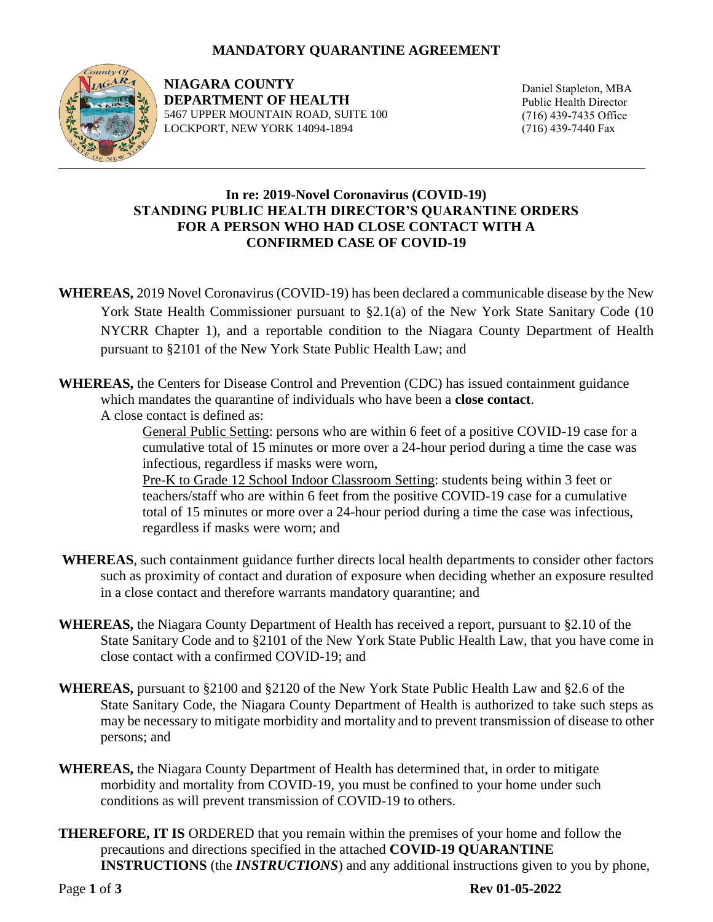## **MANDATORY QUARANTINE AGREEMENT**



**NIAGARA COUNTY DEPARTMENT OF HEALTH** 5467 UPPER MOUNTAIN ROAD, SUITE 100 LOCKPORT, NEW YORK 14094-1894

Daniel Stapleton, MBA Public Health Director (716) 439-7435 Office (716) 439-7440 Fax

## **In re: 2019-Novel Coronavirus (COVID-19) STANDING PUBLIC HEALTH DIRECTOR'S QUARANTINE ORDERS FOR A PERSON WHO HAD CLOSE CONTACT WITH A CONFIRMED CASE OF COVID-19**

- **WHEREAS,** 2019 Novel Coronavirus (COVID-19) has been declared a communicable disease by the New York State Health Commissioner pursuant to §2.1(a) of the New York State Sanitary Code (10 NYCRR Chapter 1), and a reportable condition to the Niagara County Department of Health pursuant to §2101 of the New York State Public Health Law; and
- **WHEREAS,** the Centers for Disease Control and Prevention (CDC) has issued containment guidance which mandates the quarantine of individuals who have been a **close contact**.

A close contact is defined as:

General Public Setting: persons who are within 6 feet of a positive COVID-19 case for a cumulative total of 15 minutes or more over a 24-hour period during a time the case was infectious, regardless if masks were worn,

Pre-K to Grade 12 School Indoor Classroom Setting: students being within 3 feet or teachers/staff who are within 6 feet from the positive COVID-19 case for a cumulative total of 15 minutes or more over a 24-hour period during a time the case was infectious, regardless if masks were worn; and

- **WHEREAS**, such containment guidance further directs local health departments to consider other factors such as proximity of contact and duration of exposure when deciding whether an exposure resulted in a close contact and therefore warrants mandatory quarantine; and
- **WHEREAS,** the Niagara County Department of Health has received a report, pursuant to §2.10 of the State Sanitary Code and to §2101 of the New York State Public Health Law, that you have come in close contact with a confirmed COVID-19; and
- **WHEREAS,** pursuant to §2100 and §2120 of the New York State Public Health Law and §2.6 of the State Sanitary Code, the Niagara County Department of Health is authorized to take such steps as may be necessary to mitigate morbidity and mortality and to prevent transmission of disease to other persons; and
- **WHEREAS,** the Niagara County Department of Health has determined that, in order to mitigate morbidity and mortality from COVID-19, you must be confined to your home under such conditions as will prevent transmission of COVID-19 to others.
- **THEREFORE, IT IS** ORDERED that you remain within the premises of your home and follow the precautions and directions specified in the attached **COVID-19 QUARANTINE INSTRUCTIONS** (the *INSTRUCTIONS*) and any additional instructions given to you by phone,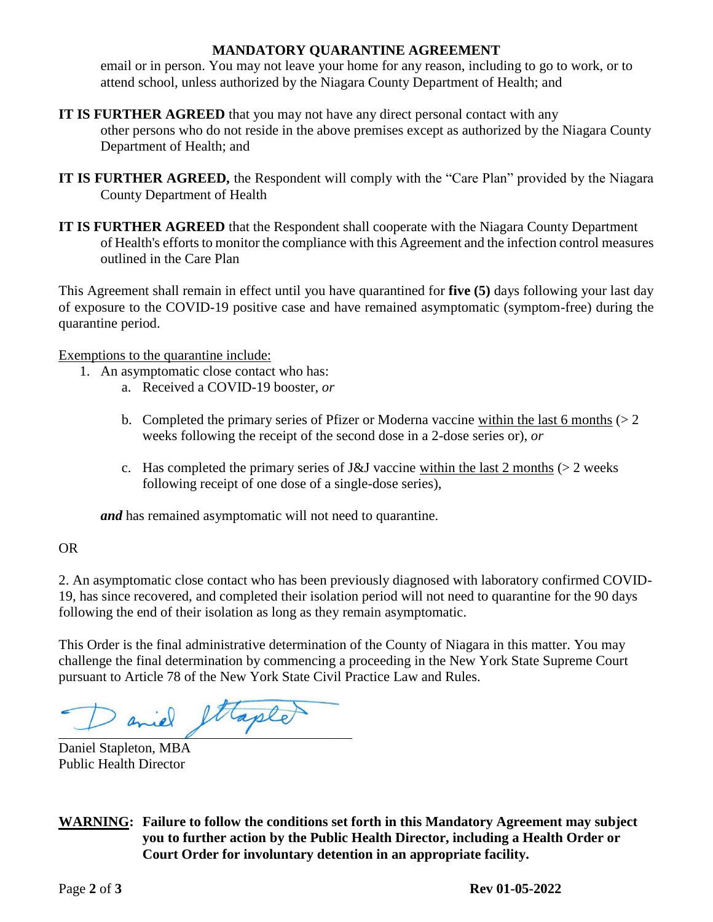## **MANDATORY QUARANTINE AGREEMENT**

email or in person. You may not leave your home for any reason, including to go to work, or to attend school, unless authorized by the Niagara County Department of Health; and

- **IT IS FURTHER AGREED** that you may not have any direct personal contact with any other persons who do not reside in the above premises except as authorized by the Niagara County Department of Health; and
- **IT IS FURTHER AGREED,** the Respondent will comply with the "Care Plan" provided by the Niagara County Department of Health
- **IT IS FURTHER AGREED** that the Respondent shall cooperate with the Niagara County Department of Health's efforts to monitor the compliance with this Agreement and the infection control measures outlined in the Care Plan

This Agreement shall remain in effect until you have quarantined for **five (5)** days following your last day of exposure to the COVID-19 positive case and have remained asymptomatic (symptom-free) during the quarantine period.

Exemptions to the quarantine include:

- 1. An asymptomatic close contact who has:
	- a. Received a COVID-19 booster, *or*
	- b. Completed the primary series of Pfizer or Moderna vaccine within the last 6 months  $(2 \times 2)$ weeks following the receipt of the second dose in a 2-dose series or), *or*
	- c. Has completed the primary series of J&J vaccine within the last 2 months ( $>$  2 weeks following receipt of one dose of a single-dose series),

*and* has remained asymptomatic will not need to quarantine.

OR

2. An asymptomatic close contact who has been previously diagnosed with laboratory confirmed COVID-19, has since recovered, and completed their isolation period will not need to quarantine for the 90 days following the end of their isolation as long as they remain asymptomatic.

This Order is the final administrative determination of the County of Niagara in this matter. You may challenge the final determination by commencing a proceeding in the New York State Supreme Court pursuant to Article 78 of the New York State Civil Practice Law and Rules.

ettaple

Daniel Stapleton, MBA Public Health Director

**WARNING: Failure to follow the conditions set forth in this Mandatory Agreement may subject you to further action by the Public Health Director, including a Health Order or Court Order for involuntary detention in an appropriate facility.**